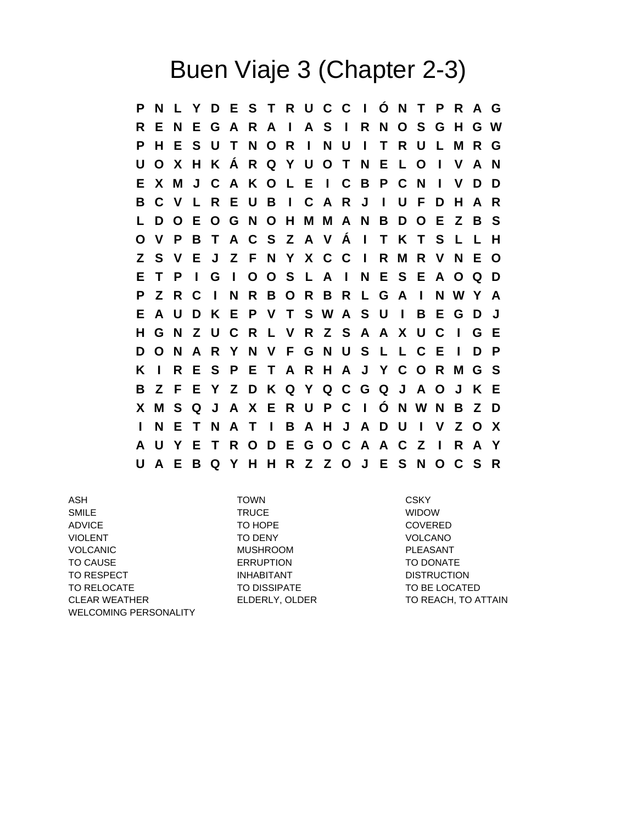## Buen Viaje 3 (Chapter 2-3)

**P N L Y D E S T R U C C I Ó N T P R A G R E N E G A R A I A S I R N O S G H G W P H E S U T N O R I N U I T R U L M R G U O X H K Á R Q Y U O T N E L O I V A N E X M J C A K O L E I C B P C N I V D D B C V L R E U B I C A R J I U F D H A R L D O E O G N O H M M A N B D O E Z B S O V P B T A C S Z A V Á I T K T S L L H Z S V E J Z F N Y X C C I R M R V N E O E T P I G I O O S L A I N E S E A O Q D P Z R C I N R B O R B R L G A I N W Y A E A U D K E P V T S W A S U I B E G D J H G N Z U C R L V R Z S A A X U C I G E D O N A R Y N V F G N U S L L C E I D P K I R E S P E T A R H A J Y C O R M G S B Z F E Y Z D K Q Y Q C G Q J A O J K E X M S Q J A X E R U P C I Ó N W N B Z D I N E T N A T I B A H J A D U I V Z O X A U Y E T R O D E G O C A A C Z I R A Y U A E B Q Y H H R Z Z O J E S N O C S R**

ASH TOWN CSKY SMILE WIDOW TRUCE TRUCE TRUCE ADVICE TO HOPE TO HOPE COVERED VIOLENT TO DENY TO DENY VOLCANO VOLCANIC MUSHROOM MUSHROOM PLEASANT TO CAUSE ERRUPTION TO DONATE TO RESPECT **EXECUTE INHABITANT** TO RESPECT **DISTRUCTION** TO RELOCATE TO DISSIPATE TO BE LOCATED CLEAR WEATHER **ELDERLY, OLDER** TO REACH, TO ATTAIN WELCOMING PERSONALITY